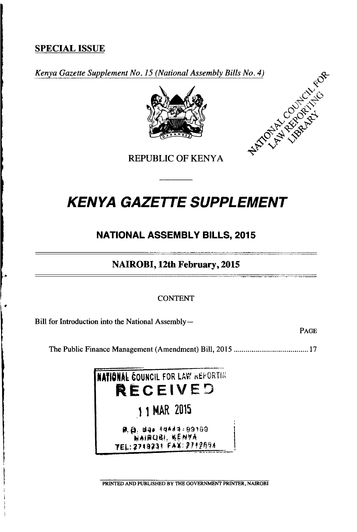## SPECIAL ISSUE

Kenya Gazette Supplement No. 15 (National Assembly Bills No.4)





# KENYA GAZETTE SUPPLEMENT

# NATIONAL ASSEMBLY BILLS, 2015

NAIROBI, 12th February, 2015

#### CONTENT

Bill for Introduction into the National Assembly-

PAGE

The Public Finance Management (Amendment) Bill, 2015 .................17

# NATIONAL GOUNGIL FOR LAW REPURTIE 1 1 MAR 2015 **B. @. der 106d4:09100** HAIROBI, KENYA<br>TEL:2719231 FAX:2712694 **RECEIVED** 

PRINTED AND PUBLISHED BY THE GOVERNMENT PRINTER, NAIROBI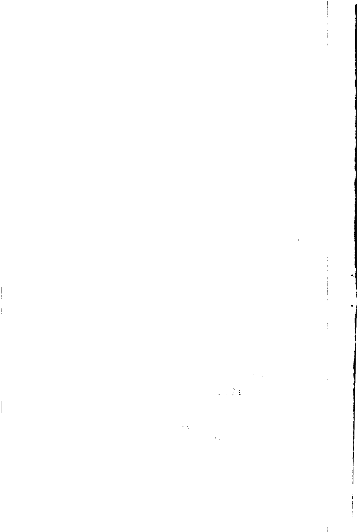II

.l

 $\frac{1}{2}$ 

 $\ddot{\phantom{a}}$ 

اع<br>الأنواعي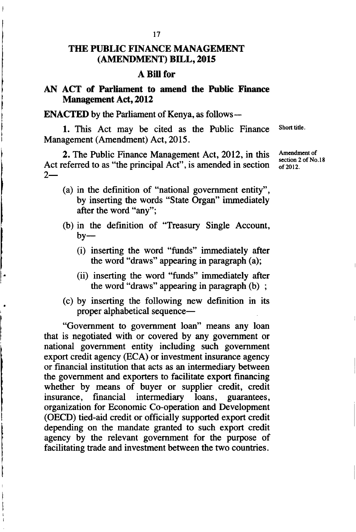#### THE PUBLIC FINANCE MANAGEMENT (AMENDMENT) BILL, 2015

#### A Bill for

## AN ACT of Parliament to amend the Public Finance Management Act, 2012

ENACTED by the Parliament of Kenya, as follows-

1. This Act may be cited as the Public Finance Short title. Management (Amendment) Act, 2O15.

2.The Public Finance Management Act,2012, in this Act referred to as "the principal Act", is amended in section  $2-$ 

- (a) in the definition of "national govemment entity", by inserting the words "State Organ" immediately after the word "any";
- (b) in the definition of "Treasury Single Account,  $bv$ —
	- (i) inserting the word "funds" immediately after the word "draws" appearing in paragraph (a);
	- (ii) inserting the word "funds" immediately after the word "draws" appearing in paragraph (b) ;
- (c) by inserting the following new definition in its proper alphabetical sequence-

"Government to government loan" means any loan that is negotiated with or covered by any government or national govemment entity including such government export credit agency (ECA) or investment insurance agency or financial institution that acts as an intermediary between the government and exporters to facilitate export financing whether by means of buyer or supplier credit, credit insurance, financial intermediary loans, guarantees, insurance, financial intermediary loans, organization for Economic Co-operation and Development (OECD) tied-aid credit or officially supported export credit depending on the mandate granted to such export credit agency by the relevant government for the purpose of facilitating trade and investment between the two countries.

Amendment of scction 2 of No.l8

of2012.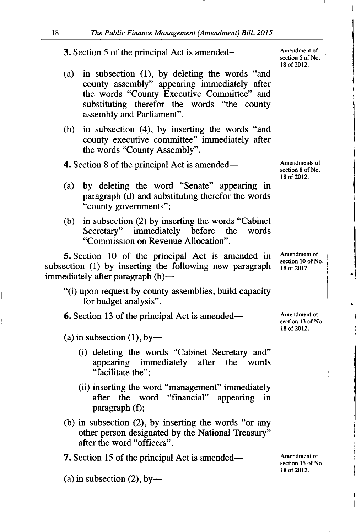3. Section 5 of the principal Act is amended-

Amendment of section 5 of No. 18 of 2012.

- (a) in subsection (1), by deleting the words "and county assembly" appearing immediately after the words "County Executive Committee" and substituting therefor the words "the county assembly and Parliament".
- (b) in subsection (4), by inserting the words "and county executive committee" immediately after the words "County Assembly".

4. Section 8 of the principal Act is amended—

- (a) by deleting the word "Senate" appearing in paragraph (d) and substituting therefor the words "county governments";
- (b) in subsection (2) by inserting the words "Cabinet Secretary" immediately before the words "Commission on Revenue Allocation".

5. Section 10 of the principal Act is amended in subsection (1) by inserting the following new paragraph immediately after paragraph  $(h)$ —

"(i) upon request by county assemblies, build capacity for budget analysis".

6. Section 13 of the principal Act is amended-

(a) in subsection  $(1)$ , by-

- (i) deleting the words "Cabinet Secretary and" appearing immediately after the words "facilitate the";
- (ii) inserting the word "management" immediately after the word "financial" appearing in paragraph (f);
- (b) in subsection  $(2)$ , by inserting the words "or any other person designated by the National Treasury" after the word "officers".

**7.** Section 15 of the principal Act is amended—

Amendment of section 15 of No. 18 of 2012.

(a) in subsection  $(2)$ , by-

Amendment of section 10 of No. 18 of 2012.

.l

Amendment of section 13 of No. 18 of 2012.

Amendments of section 8 of No. 18 of 2O12.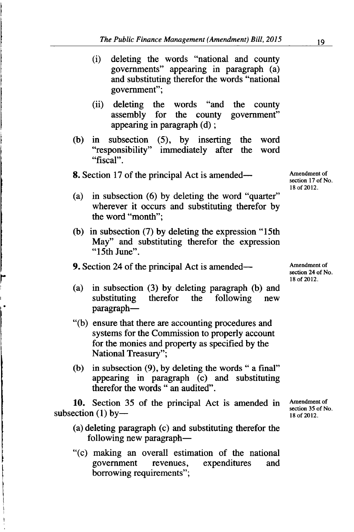- (i) deleting the words "national and county governments" appearing in paragraph (a) and substituting therefor the words "national government";
- (ii) deleting the words "and the county<br>assembly for the county government" assembly for the county appearing in paragraph (d) ;
- (b) in subsection (5), by inserting the word "responsibility" immediately after the word "fiscal".

8. Section 17 of the principal Act is amended-

Amendment of section 17 of No. 18 of 2012.

- (a) in subsection (6) by deleting the word "quarter" wherever it occurs and substituting therefor by the word "month";
- (b) in subsection (7) by deleting the expression "l5th May" and substituting therefor the expression "15th June".

9. Section 24 of the principal Act is amended-

Amendment of section 24 of No. 18 of 2012.

- (a) in subsection (3) by deleting paragraph (b) and substituting therefor the following new paragraph-
- "(b) ensure that there are accounting procedures and systems for the Commission to properly account for the monies and property as specified by the National Treasury";
- (b) in subsection (9), by deleting the words " a final" appearing in paragraph (c) and substituting therefor the words " an audited".

10. Section 35 of the principal Act is amended in subsection  $(1)$  by-

- (a) deleting paragraph (c) and substituting therefor the following new paragraph-
- "(c) making an overall estimation of the national government revenues, expenditures and borrowing requirements";

Amendment of scction 35 of No. 18 of 2012.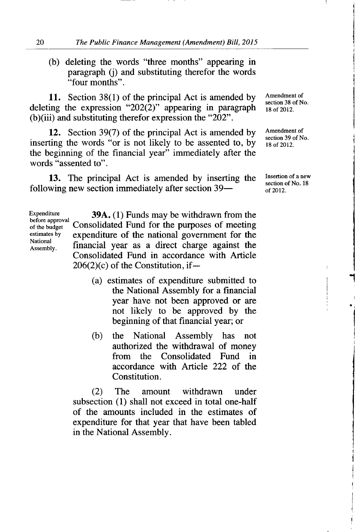(b) deleting the words "three months" appearing in paragraph (i) and substituting therefor the words "four months".

11. Section 38(1) of the principal Act is amended by deleting the expression "202 $(2)$ " appearing in paragraph (b)(iii) and substituting therefor expression the "202".

12. Section 39(7) of the principal Act is amended by inserting the words "or is not likely to be assented to, by the beginning of the financial year" immediately after the words "assented to".

13. The principal Act is amended by inserting the following new section immediately after section 39—

Expenditure 39A.  $(1)$  Funds may be withdrawn from the before approval  $\frac{t}{t}$  consolidated Fund for the purposes of meeting of the national government for the estimates by expenditure of the national government for the National  $\frac{National}{Assembly}$  financial year as a direct charge against the Consolidated Fund in accordance with Article  $206(2)(c)$  of the Constitution, if —

- (a) estimates of expenditure submitted to the National Assembly for a financial year have not been approved or are not likely to be approved by the beginning of that financial year; or
- (b) the National Assembly has not authorized the withdrawal of money from the Consolidated Fund in accordance with Article 222 of the Constitution.

(2) The amount withdrawn under subsection (1) shall not exceed in total one-half of the amounts included in the estimates of expenditure for that year that have been tabled in the National Assembly.

Amendment of section 38 of No. 18 of 2012.

Amendment of section 39 of No. l8 of 2012.

Insertion of a new section of No. 18 of 2O12.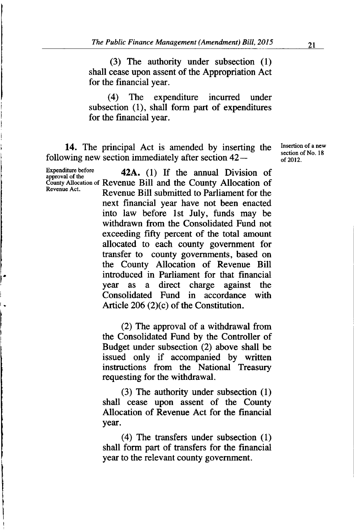(3) The authority under subsection (1) shall cease upon assent of the Appropriation Act for the financial year.

(4) The expenditure incurred under subsection (1), shall form part of expenditures for the financial year.

14. The principal Act is amended by inserting the following new section immediately after section  $42-$ 

Expenditure before **42A.** (1) If the annual Division of approval of the County Allocation of Revenue Bill and the County Allocation of Revenue Act.<br>Revenue Bill submitted to Parliament for the next financial year have not been enacted into law before lst July, funds may be withdrawn from the Consolidated Fund not exceeding fifty percent of the total amount allocated to each county government for transfer to county governments, based on the County Allocation of Revenue Bill introduced in Parliament for that financial year as a direct charge against the Consolidated Fund in accordance with Article 206 (2)(c) of the Constitution.

l'

(2) The approval of a withdrawal from the Consolidated Fund by the Controller of Budget under subsection (2) above shall be issued only if accompanied by written instructions from the National Treasury requesting for the withdrawal.

(3) The authority under subsection (l) shall cease upon assent of the County Allocation of Revenue Act for the financial year.

(4) The transfers under subsection (1) shall form part of transfers for the financial year to the relevant county government.

lnsertion of a ncw section of No. 18 of 2012.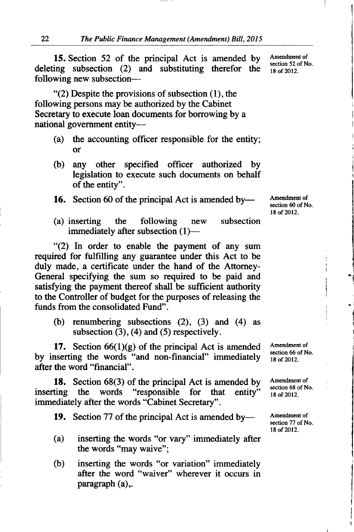The Public Finance Management (Amendment) Bill,20l5

15. Section 52 of the principal Act is amended by deleting subsection (2) and substituting therefor the following new subsection---

"(2) Despite the provisions of subsection (1), the following persons may be authorized by the Cabinet Secretary to execute loan documents for borrowing by a national government entity-

- (a) the accounting officer responsible for the entity; or
- (b) any other specified officer authorized by legislation to execute such documents on behalf of the entity".
- 16. Section 60 of the principal Act is amended by-

Amendment of section 60 of No. 18 of 2O12.

'l

(a) inserting the following new subsection immediately after subsection  $(1)$ —

"(2) In order to enable the payment of any sum required for fulfilling any guarantee under this Act to be duly made, a certificate under the hand of the Attorney-General specifying the sum so required to be paid and satisfying the payment thereof shall be sufficient authority to the Controller of budget for the purposes of releasing the funds from the consolidated Fund".

(b) renumbering subsections (2), (3) and (4) as subsection  $(3)$ ,  $(4)$  and  $(5)$  respectively.

17. Section  $66(1)(g)$  of the principal Act is amended by inserting the words "and non-financial" immediately after the word "financial".

**18.** Section 68(3) of the principal Act is amended by inserting the words "responsible for that entity" words "responsible for that immediately after the words "Cabinet Secretary".

19. Section 77 of the principal Act is amended by-

- (a) inserting the words "or vary" immediately after the words "may waive";
- (b) inserting the words "or variation" immediately after the word "waiver" wherever it occurs in paragraph (a),.

Amendment of scction 66 of No. 18 of 2012.

Amendment of section 68 of No. 18 of 2012.

Amendment of section 77 of No. 18 of 2012.

 $22$ 

Amendment of section 52 of No. 18 of 2012.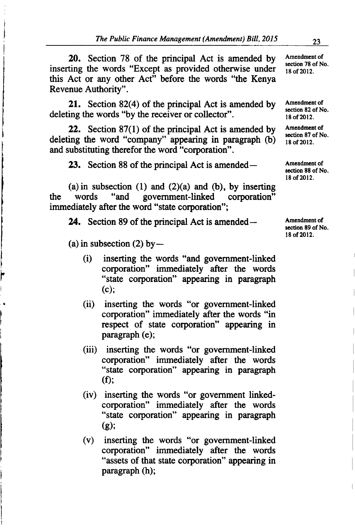20, Section 78 of the principal Act is amended by inserting the words "Except as provided otherwise under this Act or any other Act" before the words "the Kenya Revenue Authority".

21. Section 82(4) of the principal Act is amended by deleting the words "by the receiver or collector".

22. Section 87(1) of the principal Act is amended by deleting the word "company" appearing in paragraph  $(b)$ and substituting therefor the word "corporation".

23. Section 88 of the principal Act is amended  $-$ 

(a) in subsection (1) and (2)(a) and (b), by inserting the words "and government-linked corporation" immediately after the word "state corporation";

24. Section 89 of the principal Act is amended-

(a) in subsection  $(2)$  by —

I I i.

- (i) inserting the words "and government-linked corporation" immediately after the words "state corporation" appearing in paragraph (c);
- (ii) inserting the words "or government-linked corporation" immediately after the words "in respect of state corporation" appearing in paragraph (e);
- (iii) inserting the words "or government-linked corporation" immediately after the words "state corporation" appearing in paragraph  $(f)$ ;
- (iv) inserting the words "or govemment linkedcorporation" immediately after the words "state corporation" appearing in paragraph (e);
- (v) inserting the words "or government-linked corporation" immediately after the words "assets of that state corporation" appearing in paragraph (h);

Amcndment of scction 78 of No. 18 of 2012.

Amcndmcnt of section 82 of No. 18 of 2012.

Amcndmcnt of scction 87 of No. 18 of 2012.

Amendment of section 88 of No. 18 of 2012.

Amendment of section 89 of No. 18 of 2012.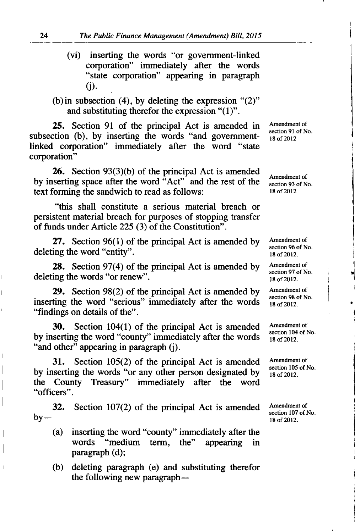- (vi) inserting the words "or government-linked corporation" immediately after the words "state corporation" appearing in paragraph  $(i).$
- (b) in subsection (4), by deleting the expression " $(2)$ " and substituting therefor the expression "(1)".

**25.** Section 91 of the principal Act is amended in  $\frac{\text{Amendment of}}{\text{section 91 of N}}$ subsection (b), by inserting the words "and government-  $\frac{\text{section 91 of No}}{18 \text{ of } 2012}$ linked corporation" immediately after the word "state corporation"

26. Section 93(3)(b) of the principal Act is amended by inserting space after the word "Act" and the rest of the text forming the sandwich to read as follows:

"this shall constitute a serious material breach or persistent material breach for purposes of stopping transfer of funds under Article 225 (3) of the Constitution".

27. Section 96(1) of the principal Act is amended by deleting the word "entity".

28. Section 97(4) of the principal Act is amended by deleting the words "or renew".

29. Section 98(2) of the principal Act is amended by inserting the word "serious" immediately after the words "findings on details of the".

30. Section 104(1) of the principal Act is amended by inserting the word "county" immediately after the words "and other" appearing in paragraph  $(i)$ .

31. Section 105(2) of the principal Act is amended by inserting the words "or any other person designated by the County Treasury" immediately after the word "officers".

32. Section lO7(2) of the principal Act is amended  $by-$ 

- (a) inserting the word "county" immediately after the words "medium term, the" appearing in paragraph (d);
- (b) deleting paragraph (e) and substituting therefor the following new paragraph—

Amendment of section 93 of No. 18 of 2012

Amendment of section 96 of No. 18 of 2012.

Amendment of section 97 of No. 18 of 2012.

Amendment of section 98 of No. 18 of 2012.

Amendment of section 104 of No. 18 of 2012.

Amendment of section 105 of No. 18 of 2012.

Amendment of section 107 of No. 18 of 2O12.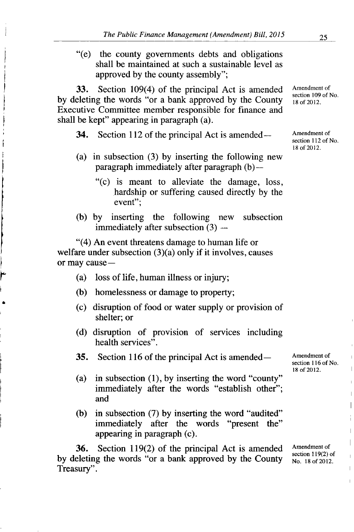"(e) the county governments debts and obligations shall be maintained at such a sustainable level as approved by the county assembly";

33. Section 109(4) of the principal Act is amended  $\frac{\text{Amendment of}}{\text{section 109 of No.}}$ by deleting the words "or a bank approved by the County  $\frac{\text{section 109}}{18.612012}$ Executive Committee member responsible for finance and shall be kept" appearing in paragraph (a).

34. Section 112 of the principal Act is amended —  $\frac{\text{Ameandment of } }{\text{section } 112 \text{ of No.}}$ <br>18 of 2012.

- (a) in subsection (3) by inserting the following new paragraph immediately after paragraph (b)-
	- "(c) is meant to alleviate the damage, loss, hardship or suffering caused directly by the event";
- (b) by inserting the following new subsection immediately after subsection (3) -

"(4) An event threatens damage to human life or welfare under subsection  $(3)(a)$  only if it involves, causes or may cause-

(a) loss of life, human illness or injury;

r

- (b) homelessness or damage to property;
- (c) disruption of food or water supply or provision of shelter; or
- (d) disruption of provision of services including health seryices".
- 35. Section 116 of the principal Act is amended  $-$  Amendment of section 116 of No.<br>18 of 2012.
- (a) in subsection  $(1)$ , by inserting the word "county" immediately after the words "establish other";<br>and
- (b) in subsection  $(7)$  by inserting the word "audited" immediately after the words "present the" appearing in paragraph (c).

**36.** Section 119(2) of the principal Act is amended  $\frac{\text{Amendment of}}{\text{section 119(2) of}}$ by deleting the words "or a bank approved by the County  $\frac{\sec(u) \ln(1 + x)}{N_0}$ . 18 of 2012. Treasury".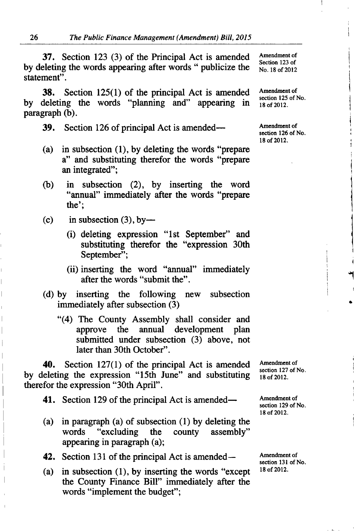37. Section 123 (3) of the Principal Act is amended Amendment of Section 123 of by deleting the words appearing after words " publicize the  $\frac{125 \text{ of}}{N_0.18 \text{ of }2012}$ statement".

38. Section 125(1) of the principal Act is amended by deleting the words "planning and" appearing in paragraph (b).

39. Section 126 of principal Act is amended-

- (a) in subsection (l), by deleting the words "prepare a" and substituting therefor the words "prepare an integrated";
- (b) in subsection (2), by inserting the word "annual" immediately after the words "prepare the';
- (c) in subsection  $(3)$ , by-
	- (i) deleting expression "lst September" and substituting therefor the "expression 30th September";
	- (ii) inserting the word "annual" immediately after the words "submit the".
- (d) by inserting the following new subsection immediately after subsection (3)
	- "(4) The County Assembly shall consider and approve the annual development plan submitted under subsection (3) above, not later than 30th October".

40. Section 127(l) of the principal Act is amended by deleting the expression "l5th June" and substituting therefor the expression "30th April".

41. Section 129 of the principal Act is amended—

- (a) in paragraph (a) of subsection  $(1)$  by deleting the words "excluding the county assembly" appearing in paragraph (a);
- 42. Section 131 of the principal Act is amended-
- (a) in subsection  $(1)$ , by inserting the words "except" the County Finance Bill" immediately after the words "implement the budget";

Amendment of section 127 of No. 18 of 2012.

"t

a

Amendment of section 129 of No. 18 of 2012.

Amendment of section 131 of No. 18 of 2012.

Amendment of section 125 of No. 18 of 2012.

Amendment of section 126 of No. 18 of 2012.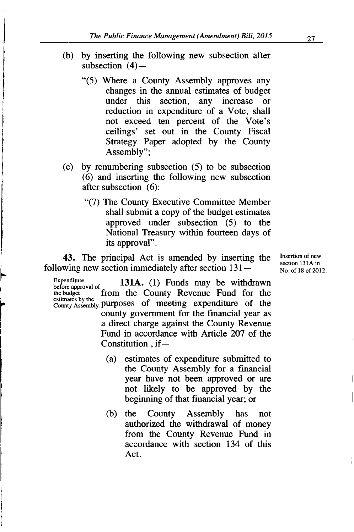- (b) by inserting the following new subsection after subsection  $(4)$ -
	- "(5) Where a County Assembly approves any changes in the annual estimates of budget under this section, any increase or reduction in expenditure of a Vote, shall not exceed ten percent of the Vote's ceilings' set out in the County Fiscal Strategy Paper adopted by the County Assembly";
- (c) by renumbering subsection (5) to be subsection (6) and inserting the following new subsection after subsection (6):
	- "(7) The County Executive Committee Member shall submit a copy of the budget estimates approved under subsection (5) to the National Treasury within fourteen days of its approval".

43. The principal Act is amended by inserting the following new section immediately after section  $131-$ 

i

f. I

Insertion of new section 131A in No. of 18 of 2012.

Expenditure 131A. (1) Funds may be withdrawn<br>the budget from the County Revenue Fund for the from the County Revenue Fund for the estimates by the county Assembly purposes of meeting expenditure of the county government for the financial year as a direct charge against the County Revenue Fund in accordance with Article 2O7 of the Constitution . if-

- (a) estimates of expenditure submitted to the County Assembly for a financial year have not been approved or are not likely to be approved by the beginning of that financial year; or
- (b) the County Assembly has not authorized the withdrawal of money from the County Revenue Fund in accordance with section 134 of this Act.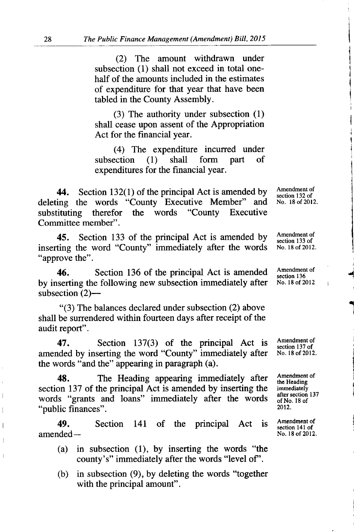(2) The amount withdrawn under subsection (1) shall not exceed in total onehalf of the amounts included in the estimates of expenditure for that year that have been tabled in the County Assembly.

(3) The authority under subsection (1) shall cease upon assent of the Appropriation Act for the financial year.

(4) The expenditure incurred under subsection (1) shall form part of expenditures for the financial year.

44. Section 132(1) of the principal Act is amended by deleting the words "County Executive Member" and substituting therefor the words "County Executive Committee member".

45. Section 133 of the principal Act is amended by inserting the word "County" immediately after the words "approve the".

46. Section 136 of the principal Act is amended by inserting the following new subsection immediately after subsection  $(2)$ -

"(3) The balances declared under subsection (2) above shall be surrendered within fourteen days after receipt of the audit report".

47. Section 137(3) of the principal Act is amended by inserting the word "County" immediately after the words "and the" appearing in paragraph (a).

The Heading appearing immediately after 48. section 137 of the principal Act is amended by inserting the words "grants and loans" immediately after the words "public finances".

49. Section l4l of the principal Act is amended-

- (a) in subsection (1), by inserting the words "the county's" immediately after the words "level of'.
- (b) in subsection (9), by deleting the words "together with the principal amount".

Amendment of section 132 of No. 18 of 2012.

Amendment of section 133 of No. 18 of 2012.

Amendment of scction 136 No. 18 of 2012

.{

I  $\ddot{\phantom{1}}$ I

Amcndment of section 137 of No. 18 of 2012.

Amendment of thc Hcading immcdiately after section 137 of No. 18 of 2012.

Amcndment of scction 141 of No. 18 of 2012.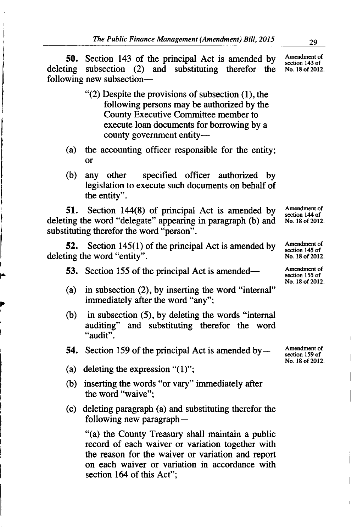50. Section 143 of the principal Act is amended by deleting subsection (2) and substituting therefor the following new subsection-

- "(2) Despite the provisions of subsection (1), the following persons may be authorized by the County Executive Committee member to execute loan documents for borrowing by a county government entity-
- (a) the accounting officer responsible for the entity; or
- (b) any other specified officer authorized by legislation to execute such documents on behalf of the entity".

51. Section 144(8) of principal Act is amended by deleting the word "delegate" appearing in paragraph (b) and substituting therefor the word "person".

52. Section 145(1) of the principal Act is amended by deleting the word "entity".

- 53. Section 155 of the principal Act is amended—
- (a) in subsection  $(2)$ , by inserting the word "internal" immediately after the word "any";
- (b) in subsection (5), by deleting the words "internal auditing" and substituting therefor the word "audit".
- **54.** Section 159 of the principal Act is amended by  $-$
- (a) deleting the expression " $(1)$ ";

F

- (b) inserting the words "or vary" immediately after the word "waive";
- (c) deleting paragraph (a) and substituting therefor the following new paragraph-

"(a) the County Treasury shall maintain a public record of each waiver or variation together with the reason for the waiver or variation and report on each waiver or variation in accordance with section 164 of this Act";

scction 144 of No. 18 of 2012.

Amcndmcnt of

Amendment of scction 145 of No. 18 of 2012.

Amcndmcnt of scction 155 of No. 18 of 2012.

Amcndmcnt of scction 159 of No. 18 of 2012.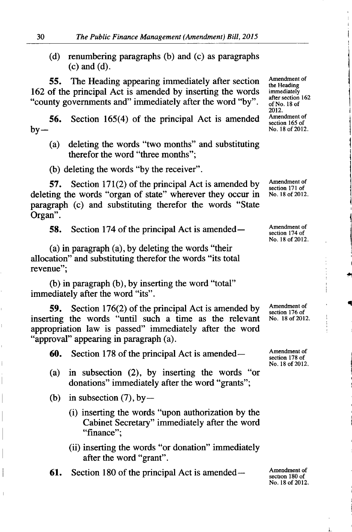(d) renumbering paragraphs (b) and (c) as pamgraphs (c) and (d).

55. The Heading appearing immediately after section  $\frac{\text{Amendment of the Ferdinand of the principal Act is amended by inserting the words immediately.}$ 162 of the principal Act is amended by inserting the words "county governments and" immediately after the word "by". of No. 18 of

**56.** Section 165(4) of the principal Act is amended  $\frac{\text{Amendment of}}{\text{section 165 of}}$  $by -$  No. 18 of 2012.

- (a) deleting the words "two months" and substituting therefor the word "three months";
- (b) deleting the words "by the receiver".

<sup>57</sup>. Section 171(2) of the principal Act is amended by deleting the words "organ of state" wherever they occur in paragraph (c) and substituting therefor the words "State Organ".

**58.** Section 174 of the principal Act is amended —

(a) in paragraph (a), by deleting the words "their allocation" and substituting therefor the words "its total revenue";

(b) in paragraph (b), by inserting the word "total" immediately after the word "its".

59. Section 176(2) of the principal Act is amended by inserting the words "until such a time as the relevant appropriation law is passed" immediately after the word "approval" appearing in paragraph (a).

**60.** Section 178 of the principal Act is amended—

- (a) in subsection (2), by inserting the words "or donations" immediately after the word "grants";
- (b) in subsection  $(7)$ , by  $-$ 
	- (i) inserting the words "upon authorization by the Cabinet Secretary" immediately after the word "finance";
	- (ii) inserting the words "or donation" immediately after the word "grant".

61. Section 180 of the principal Act is amended—

after section 162 2012.<br>Amendment of

Amendment of section 174 of No. 18 of 2012.

> I at

> > q

 $\mathfrak{f}$ 

Amendment of section 171 of No. 18of2012.

Amendment of section 176 of No.18of2012.

Amendment of section 178 of No. 18 of 2012.

Amendment of section 180 of No. 18 of 2012.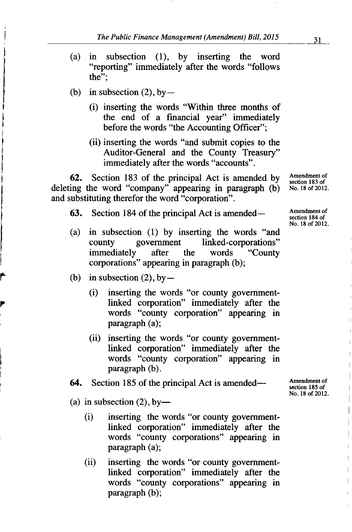The Public Finance Management (Amendment) Bill, 2015  $31$ 

- 
- (a) in subsection (1), by inserting the word "reporting" immediately after the words "follows the";
- (b) in subsection  $(2)$ , by-
	- (i) inserting the words "Within three months of the end of a financial year" immediately before the words "the Accounting Officer";
	- (ii) inserting the words "and submit copies to the Auditor-General and the County Treasury" immediately after the words "accounts".

62. Section 183 of the principal Act is amended by deleting the word "company" appearing in paragraph (b) and substituting therefor the word "corporation".

- 63. Section 184 of the principal Act is amended—
- (a) in subsection (1) by inserting the words "and county government linked-corporations"<br>immediately after the words "County immediately after the words corporations" appearing in paragraph (b);
- (b) in subsection  $(2)$ , by —

P

- $(i)$  inserting the words "or county governmentlinked corporation" immediately after the words "county corporation" appearing in paragraph (a);
- $(ii)$  inserting the words "or county governmentlinked corporation" immediately after the words "county corporation" appearing in paragraph (b).

64. Section 185 of the principal Act is amended—

- (a) in subsection  $(2)$ , by
	- inserting the words "or county governmentlinked corporation" immediately after the words "county corporations" appearing in paragraph (a); (i)
	- inserting the words "or county governmentlinked corporation" immediately after the words "county corporations" appearing in paragraph (b); (ii)

Amendment of section 183 of No. 18 of 2012.

Amendment of section 184 of No. 18 of 2012.

Amendment of scction 185 of No. 18 of 2012.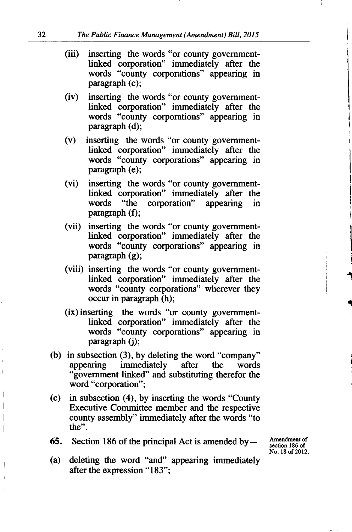- $(iii)$  inserting the words "or county governmentlinked corporation" immediately after the words "county corporations" appearing in paragraph (c);
- (iv) inserting the words "or county governmentlinked corporation" immediately after the words "county corporations" appearing in paragraph (d);
- $(v)$  inserting the words "or county governmentlinked corporation" immediately after the words "county corporations" appearing in paragraph (e);
- (vi) inserting the words "or county governmentlinked corporation" immediately after the words "the corporation" appearing in paragraph (f);
- (vii) inserting the words "or county governmentlinked corporation" immediately after the words "county corporations" appearing in paragraph (g);
- (viii) inserting the words "or county governmentlinked corporation" immediately after the words "county corporations" wherever they occur in paragraph  $(h)$ ;
- (ix) inserting the words "or county governmentlinked corporation" immediately after the words "county corporations" appearing in  $paraph (i);$
- (b) in subsection (3), by deleting the word "company"<br>appearing immediately after the words appearing immediately after the words "government linked" and substituting therefor the word "corporation";
- (c) in subsection (4), by inserting the words "County Executive Committee member and the respective county assembly" immediately after the words "to the".
- 65. Section 186 of the principal Act is amended by—

Amendmcnt of scction 186 of No. 18 of 2012. t

(a) deleting the word "and" appearing immediately after the expression "183";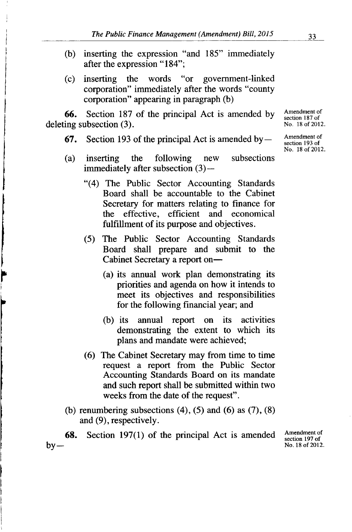- (b) inserting the expression "and 185" immediately after the expression "184";
- (c) inserting the words "or government-linked corporation" immediately after the words "county corporation" appearing in paragraph (b)

66. Section 187 of the principal Act is amended by deleting subsection (3).

- 67. Section 193 of the principal Act is amended by  $-$
- (a) inserting the following new subsections immediately after subsection  $(3)$  -
	- "(4) The Public Sector Accounting Standards Board shall be accountable to the Cabinet Secretary for matters relating to finance for the effective, efficient and economical fulfillment of its purpose and objectives.
	- (5) The Public Sector Accounting Standards Board shall prepare and submit to the Cabinet Secretary a report on-

I

- (a) its annual work plan demonstrating its priorities and agenda on how it intends to meet its objectives and responsibilities for the following financial year; and
- (b) its annual report on its activities demonstrating the extent to which its plans and mandate were achieved;
- (6) The Cabinet Secretary may from time to time request a report from the Public Sector Accounting Standards Board on its mandate and such report shall be submitted within two weeks from the date of the request".
- (b) renumbering subsections  $(4)$ ,  $(5)$  and  $(6)$  as  $(7)$ ,  $(8)$ and (9), respectively.

**68.** Section 197(1) of the principal Act is amended  $\frac{\text{Amendment of }{\text{section 197 of}}$ <br>No. 18 of 2012.  $by -$  No. 18 of 2012

Amendment of section 187 of No. 18 of 2012.

Amendment of section 193 of No. 18 of 2012.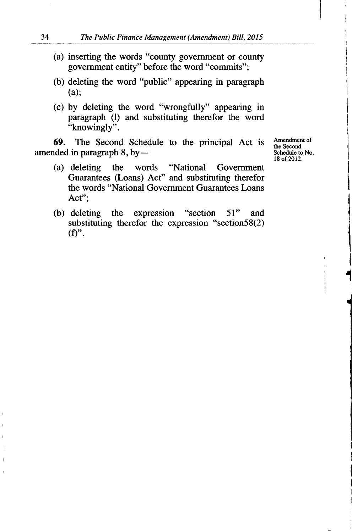- (a) inserting the words "county government or county government entity" before the word "commits";
- (b) deleting the word "public" appearing in paragraph (a);
- (c) by deleting the word "wrongfully" appearing in paragraph (1) and substituting therefor the word "knowingly".

69. The Second Schedule to the principal Act is amended in paragraph  $8, by-$  Amendment of the Second Schedule to No. 18 of 2012.

> I 1

- (a) deleting the words "National Government Guarantees (Loans) Act" and substituting therefor the words "National Government Guarantees Loans Act";
- (b) deleting the expression "section 51" and substituting therefor the expression "section5S(2) (f)".